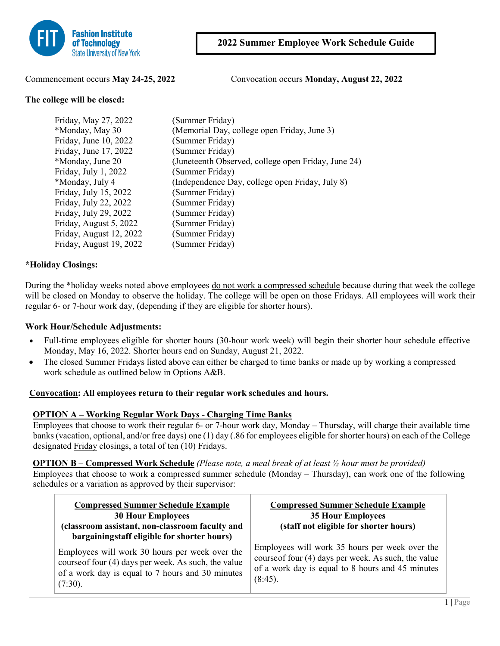

Commencement occurs **May 24-25, 2022** Convocation occurs **Monday, August 22, 2022**

#### **The college will be closed:**

| Friday, May 27, 2022    | (Summer Friday)                                     |
|-------------------------|-----------------------------------------------------|
| *Monday, May 30         | (Memorial Day, college open Friday, June 3)         |
| Friday, June 10, 2022   | (Summer Friday)                                     |
| Friday, June 17, 2022   | (Summer Friday)                                     |
| *Monday, June 20        | (Juneteenth Observed, college open Friday, June 24) |
| Friday, July 1, 2022    | (Summer Friday)                                     |
| *Monday, July 4         | (Independence Day, college open Friday, July 8)     |
| Friday, July 15, 2022   | (Summer Friday)                                     |
| Friday, July 22, 2022   | (Summer Friday)                                     |
| Friday, July 29, 2022   | (Summer Friday)                                     |
| Friday, August 5, 2022  | (Summer Friday)                                     |
| Friday, August 12, 2022 | (Summer Friday)                                     |
| Friday, August 19, 2022 | (Summer Friday)                                     |

## **\*Holiday Closings:**

During the \*holiday weeks noted above employees do not work a compressed schedule because during that week the college will be closed on Monday to observe the holiday. The college will be open on those Fridays. All employees will work their regular 6- or 7-hour work day, (depending if they are eligible for shorter hours).

### **Work Hour/Schedule Adjustments:**

- Full-time employees eligible for shorter hours (30-hour work week) will begin their shorter hour schedule effective Monday, May 16, 2022. Shorter hours end on Sunday, August 21, 2022.
- The closed Summer Fridays listed above can either be charged to time banks or made up by working a compressed work schedule as outlined below in Options A&B.

#### **Convocation: All employees return to their regular work schedules and hours.**

#### **OPTION A – Working Regular Work Days - Charging Time Banks**

Employees that choose to work their regular 6- or 7-hour work day, Monday – Thursday, will charge their available time banks (vacation, optional, and/or free days) one (1) day (.86 for employees eligible for shorter hours) on each of the College designated Friday closings, a total of ten (10) Fridays.

#### **OPTION B – Compressed Work Schedule** *(Please note, a meal break of at least ½ hour must be provided)*

Employees that choose to work a compressed summer schedule (Monday – Thursday), can work one of the following schedules or a variation as approved by their supervisor:

| <b>Compressed Summer Schedule Example</b><br><b>30 Hour Employees</b><br>(classroom assistant, non-classroom faculty and<br>bargaining staff eligible for shorter hours) | <b>Compressed Summer Schedule Example</b><br><b>35 Hour Employees</b><br>(staff not eligible for shorter hours)                                                          |  |  |  |
|--------------------------------------------------------------------------------------------------------------------------------------------------------------------------|--------------------------------------------------------------------------------------------------------------------------------------------------------------------------|--|--|--|
| Employees will work 30 hours per week over the<br>course of four (4) days per week. As such, the value<br>of a work day is equal to 7 hours and 30 minutes<br>$(7:30)$ . | Employees will work 35 hours per week over the<br>course of four (4) days per week. As such, the value<br>of a work day is equal to 8 hours and 45 minutes<br>$(8:45)$ . |  |  |  |